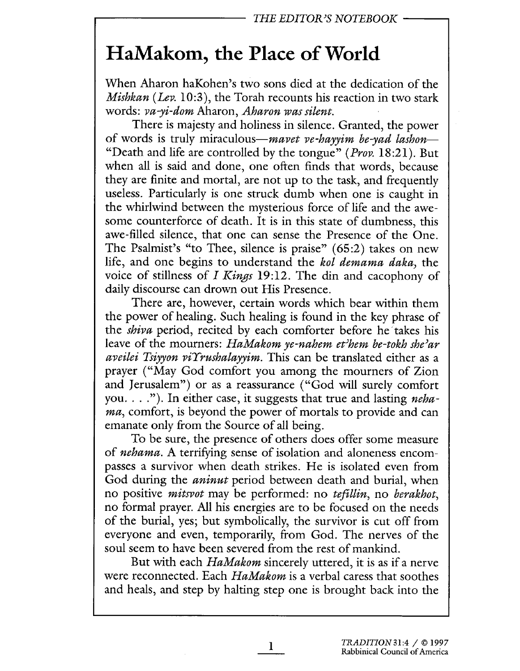## HaMakom, the Place of World

When Aharon haKohen's two sons died at the dedication of the Mishkan (Lev. 10:3), the Torah recounts his reaction in two stark words: va-yi-dom Aharon, Aharon was silent.

There is majesty and holiness in silence. Granted, the power of words is truly miraculous—*mavet ve-havyim be-yad lashon*— "Death and life are controlled by the tongue" (*Prov.* 18:21). But when all is said and done, one often finds that words, because they are finite and mortal, are not up to the task, and frequently useless. Particularly is one struck dumb when one is caught in the whirlwind between the mysterious force of life and the awesome counterforce of death. It is in this state of dumbness, this awe-filled silence, that one can sense the Presence of the One. The Psalmist's "to Thee, silence is praise" (65:2) takes on new life, and one begins to understand the kol demama daka, the voice of stillness of I Kings 19:12. The din and cacophony of daily discourse can drown out His Presence.

There are, however, certain words which bear within them the power of healing. Such healing is found in the key phrase of the *shiva* period, recited by each comforter before he takes his leave of the mourners: HaMakom ye-nahem et'hem be-tokh she'ar aveilei Tsiyyon viYrushalayyim. This can be translated either as a prayer ("May God comfort you among the mourners of Zion and Jerusalem") or as a reassurance ("God will surely comfort you.  $\ldots$ "). In either case, it suggests that true and lasting *neha*ma, comfort, is beyond the power of mortals to provide and can emanate only from the Source of all being.

To be sure, the presence of others does offer some measure of nehama. A terrifying sense of isolation and aloneness encompasses a survivor when death strikes. He is isolated even from God during the *aninut* period between death and burial, when no positive mitsvot may be performed: no tefillin, no berakhot, no formal prayer. All his energies are to be focused on the needs of the burial, yes; but symbolically, the survivor is cut off from everyone and even, temporarily, from God. The nerves of the soul seem to have been severed from the rest of mankind.

But with each *HaMakom* sincerely uttered, it is as if a nerve were reconnected. Each *HaMakom* is a verbal caress that soothes and heals, and step by halting step one is brought back into the

1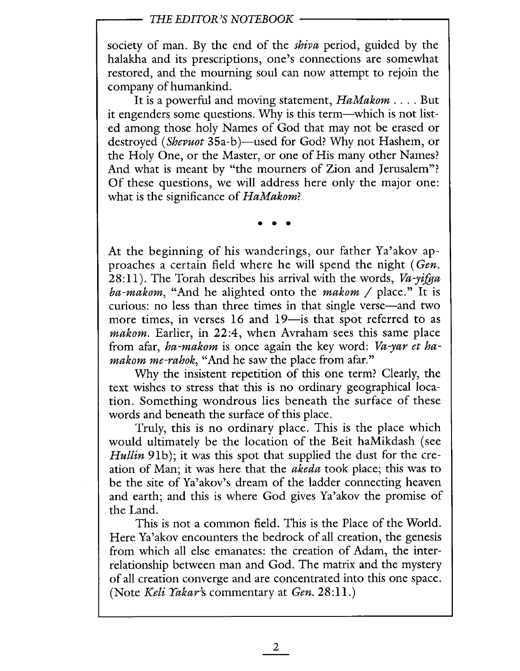## THE EDITOR'S NOTEBOOK

society of man. By the end of the *shiva* period, guided by the halakha and its prescriptions, one's connections are somewhat restored, and the mourning soul can now attempt to rejoin the company of humankind.

It is a powerful and moving statement, HaMakom . . . . But it engenders some questions. Why is this term-which is not listed among those holy Names of God that may not be erased or destroyed (Shevuot 35a-b)—used for God? Why not Hashem, or the Holy One, or the Master, or one of His many other Names? And what is meant by "the mourners of Zion and Jerusalem"? Of these questions, we wil address here only the major one: what is the significance of HaMakom?

. . .

At the beginning of his wanderings, our father Ya'akov approaches a certain field where he will spend the night (Gen.  $28:11$ ). The Torah describes his arrival with the words, Va-yifga ba-makom, "And he alighted onto the makom / place." It is curious: no less than three times in that single verse—and two more times, in verses 16 and 19-is that spot referred to as makom. Earlier, in 22:4, when Avraham sees this same place from afar, ha-makom is once again the key word: Va-yar et hamakom me-rahok, "And he saw the place from afar."

Why the insistent repetition of this one term? Clearly, the text wishes to stress that this is no ordinary geographical location. Something wondrous lies beneath the surface of these words and beneath the surface of this place.

Truly, this is no ordinary place. This is the place which would ultimately be the location of the Beit haMikdash (see Hullin 91b); it was this spot that supplied the dust for the creation of Man; it was here that the akeda took place; this was to be the site of Ya'akov's dream of the ladder connecting heaven and earth; and this is where God gives Ya'akov the promise of the Land.

This is not a common field. This is the Place of the World. Here Ya'akov encounters the bedrock of all creation, the genesis from which all else emanates: the creation of Adam, the interrelationship between man and God. The matrix and the mystery of all creation converge and are concentrated into this one space. (Note Keli Yakar's commentary at  $Gen. 28:11.$ )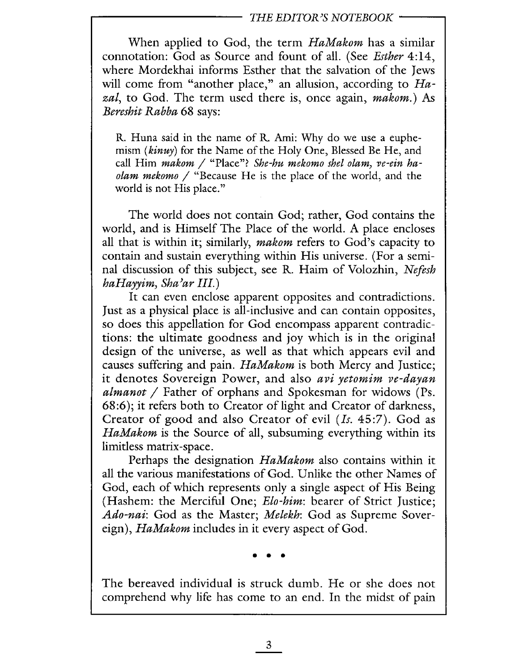## THE EDITOR'S NOTEBOOK

When applied to God, the term HaMakom has a similar connotation: God as Source and fount of all. (See Esther 4:14, where Mordekhai informs Esther that the salvation of the Jews will come from "another place," an allusion, according to  $Ha$ zal, to God. The term used there is, once again, makom.) As Bereshit Rabba 68 says:

R. Huna said in the name of R. Ami: Why do we use a euphemism (kinuy) for the Name of the Holy One, Blessed Be He, and call Him makom / "Place"? She-hu mekomo shel olam, ve-ein haolam mekomo / "Because He is the place of the world, and the world is not His place."

The world does not contain God; rather, God contains the world, and is Himself The Place of the world. A place encloses all that is within it; similarly, *makom* refers to God's capacity to contain and sustain everything within His universe. (For a seminal discussion of this subject, see R. Haim of Volozhin, Nefesh  $haHayvim, Sha'ar III.)$ 

It can even enclose apparent opposites and contradictions. Just as a physical place is all-inclusive and can contain opposites, so does this appellation for God encompass apparent contradictions: the ultimate goodness and joy which is in the original design of the universe, as well as that which appears evil and causes suffering and pain. HaMakom is both Mercy and Justice; it denotes Sovereign Power, and also avi yetomim ve-dayan almanot  $/$  Father of orphans and Spokesman for widows (Ps. 68:6); it refers both to Creator of light and Creator of darkness, Creator of good and also Creator of evil (Is. 45:7). God as HaMakom is the Source of all, subsuming everything within its limitless matrix-space.

Perhaps the designation HaMakom also contains within it all the various manifestations of God. Unlike the other Names of God, each of which represents only a single aspect of His Being (Hashem: the Merciful One; *Elo-him*: bearer of Strict Justice; Ado-nai: God as the Master; Melekh: God as Supreme Sovereign), HaMakom includes in it every aspect of God.

. . .

The bereaved individual is struck dumb. He or she does not comprehend why life has come to an end. In the midst of pain